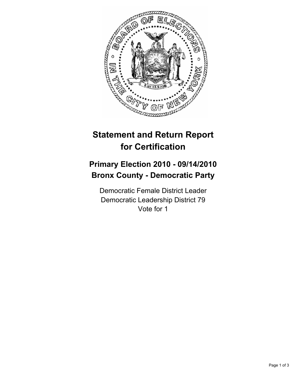

## **Statement and Return Report for Certification**

## **Primary Election 2010 - 09/14/2010 Bronx County - Democratic Party**

Democratic Female District Leader Democratic Leadership District 79 Vote for 1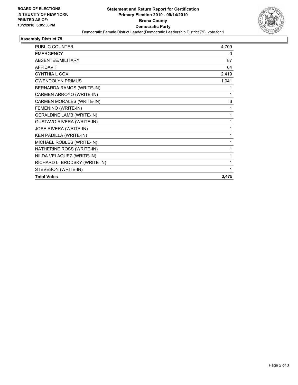

## **Assembly District 79**

| <b>PUBLIC COUNTER</b>            | 4,709 |
|----------------------------------|-------|
| <b>EMERGENCY</b>                 | 0     |
| ABSENTEE/MILITARY                | 87    |
| <b>AFFIDAVIT</b>                 | 64    |
| <b>CYNTHIA L COX</b>             | 2,419 |
| <b>GWENDOLYN PRIMUS</b>          | 1,041 |
| BERNARDA RAMOS (WRITE-IN)        |       |
| CARMEN ARROYO (WRITE-IN)         | 1     |
| CARMEN MORALES (WRITE-IN)        | 3     |
| FEMENINO (WRITE-IN)              | 1     |
| <b>GERALDINE LAMB (WRITE-IN)</b> | 1     |
| <b>GUSTAVO RIVERA (WRITE-IN)</b> |       |
| <b>JOSE RIVERA (WRITE-IN)</b>    | 1     |
| KEN PADILLA (WRITE-IN)           | 1     |
| MICHAEL ROBLES (WRITE-IN)        | 1     |
| NATHERINE ROSS (WRITE-IN)        | 1     |
| NILDA VELAQUEZ (WRITE-IN)        |       |
| RICHARD L. BRODSKY (WRITE-IN)    | 1     |
| STEVESON (WRITE-IN)              |       |
| <b>Total Votes</b>               | 3,475 |